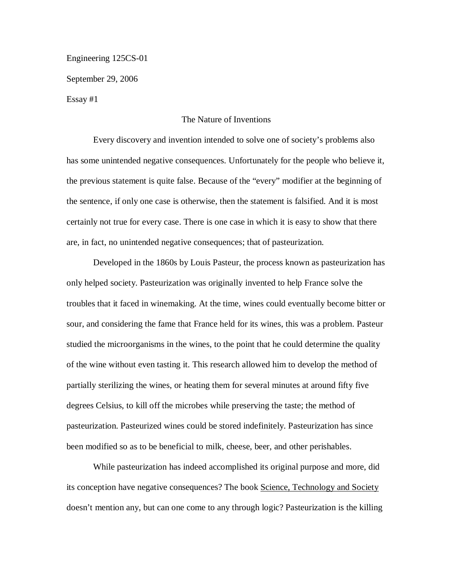Engineering 125CS-01

September 29, 2006

Essay #1

## The Nature of Inventions

Every discovery and invention intended to solve one of society's problems also has some unintended negative consequences. Unfortunately for the people who believe it, the previous statement is quite false. Because of the "every" modifier at the beginning of the sentence, if only one case is otherwise, then the statement is falsified. And it is most certainly not true for every case. There is one case in which it is easy to show that there are, in fact, no unintended negative consequences; that of pasteurization.

Developed in the 1860s by Louis Pasteur, the process known as pasteurization has only helped society. Pasteurization was originally invented to help France solve the troubles that it faced in winemaking. At the time, wines could eventually become bitter or sour, and considering the fame that France held for its wines, this was a problem. Pasteur studied the microorganisms in the wines, to the point that he could determine the quality of the wine without even tasting it. This research allowed him to develop the method of partially sterilizing the wines, or heating them for several minutes at around fifty five degrees Celsius, to kill off the microbes while preserving the taste; the method of pasteurization. Pasteurized wines could be stored indefinitely. Pasteurization has since been modified so as to be beneficial to milk, cheese, beer, and other perishables.

While pasteurization has indeed accomplished its original purpose and more, did its conception have negative consequences? The book Science, Technology and Society doesn't mention any, but can one come to any through logic? Pasteurization is the killing